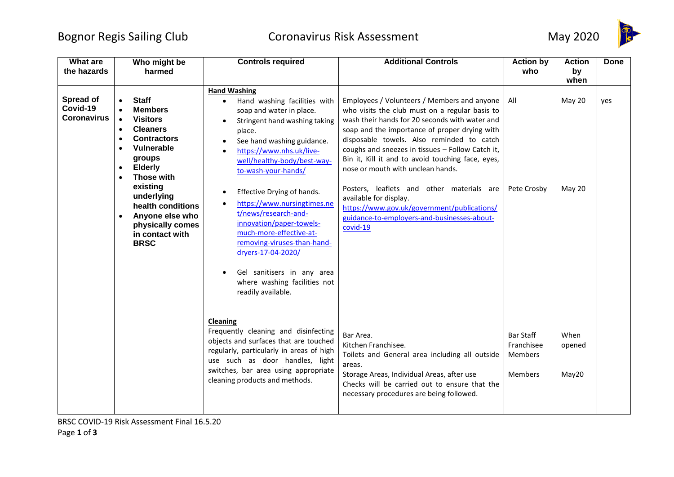## Bognor Regis Sailing Club Coronavirus Risk Assessment May 2020



| What are<br>the hazards                     | Who might be<br>harmed                                                                                                                                                                                                                                                                                                                                                       | <b>Controls required</b>                                                                                                                                                                                                                                                                                                                                                                                                                                 | <b>Additional Controls</b>                                                                                                                                                                                                                                                                                                                                                                                                                                                                                                                                                   | <b>Action by</b><br>who                                     | <b>Action</b><br>by             | <b>Done</b> |
|---------------------------------------------|------------------------------------------------------------------------------------------------------------------------------------------------------------------------------------------------------------------------------------------------------------------------------------------------------------------------------------------------------------------------------|----------------------------------------------------------------------------------------------------------------------------------------------------------------------------------------------------------------------------------------------------------------------------------------------------------------------------------------------------------------------------------------------------------------------------------------------------------|------------------------------------------------------------------------------------------------------------------------------------------------------------------------------------------------------------------------------------------------------------------------------------------------------------------------------------------------------------------------------------------------------------------------------------------------------------------------------------------------------------------------------------------------------------------------------|-------------------------------------------------------------|---------------------------------|-------------|
| Spread of<br>Covid-19<br><b>Coronavirus</b> | <b>Staff</b><br><b>Members</b><br><b>Visitors</b><br>$\bullet$<br><b>Cleaners</b><br>$\bullet$<br><b>Contractors</b><br>$\bullet$<br><b>Vulnerable</b><br>$\bullet$<br>groups<br><b>Elderly</b><br>$\bullet$<br>Those with<br>$\bullet$<br>existing<br>underlying<br>health conditions<br>Anyone else who<br>$\bullet$<br>physically comes<br>in contact with<br><b>BRSC</b> | <b>Hand Washing</b><br>Hand washing facilities with<br>$\bullet$<br>soap and water in place.<br>Stringent hand washing taking<br>place.<br>See hand washing guidance.<br>https://www.nhs.uk/live-<br>well/healthy-body/best-way-<br>to-wash-your-hands/<br>Effective Drying of hands.<br>https://www.nursingtimes.ne<br>t/news/research-and-<br>innovation/paper-towels-<br>much-more-effective-at-<br>removing-viruses-than-hand-<br>dryers-17-04-2020/ | Employees / Volunteers / Members and anyone<br>who visits the club must on a regular basis to<br>wash their hands for 20 seconds with water and<br>soap and the importance of proper drying with<br>disposable towels. Also reminded to catch<br>coughs and sneezes in tissues - Follow Catch it,<br>Bin it, Kill it and to avoid touching face, eyes,<br>nose or mouth with unclean hands.<br>Posters, leaflets and other materials are<br>available for display.<br>https://www.gov.uk/government/publications/<br>guidance-to-employers-and-businesses-about-<br>covid-19 | All<br>Pete Crosby                                          | when<br><b>May 20</b><br>May 20 | yes         |
|                                             |                                                                                                                                                                                                                                                                                                                                                                              | Gel sanitisers in any area<br>where washing facilities not<br>readily available.<br><b>Cleaning</b><br>Frequently cleaning and disinfecting<br>objects and surfaces that are touched<br>regularly, particularly in areas of high<br>use such as door handles, light<br>switches, bar area using appropriate<br>cleaning products and methods.                                                                                                            | Bar Area.<br>Kitchen Franchisee.<br>Toilets and General area including all outside<br>areas.<br>Storage Areas, Individual Areas, after use<br>Checks will be carried out to ensure that the<br>necessary procedures are being followed.                                                                                                                                                                                                                                                                                                                                      | <b>Bar Staff</b><br>Franchisee<br>Members<br><b>Members</b> | When<br>opened<br>May20         |             |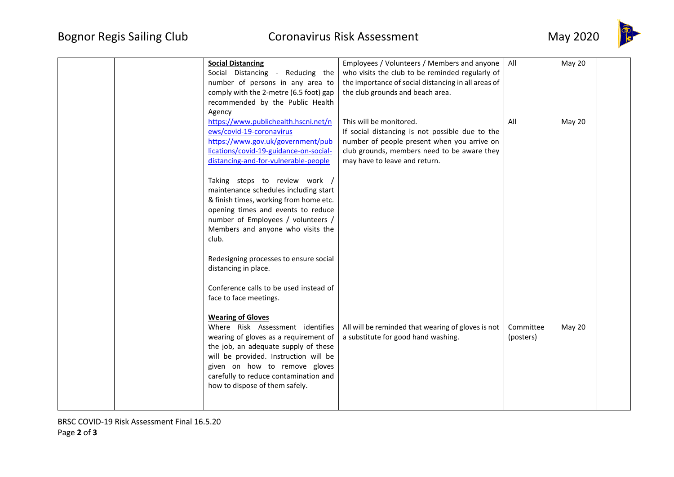

| Employees / Volunteers / Members and anyone<br>All<br><b>Social Distancing</b><br>Social Distancing - Reducing the<br>who visits the club to be reminded regularly of<br>number of persons in any area to<br>the importance of social distancing in all areas of<br>comply with the 2-metre (6.5 foot) gap<br>the club grounds and beach area.<br>recommended by the Public Health                                        | <b>May 20</b> |
|---------------------------------------------------------------------------------------------------------------------------------------------------------------------------------------------------------------------------------------------------------------------------------------------------------------------------------------------------------------------------------------------------------------------------|---------------|
| Agency                                                                                                                                                                                                                                                                                                                                                                                                                    |               |
| https://www.publichealth.hscni.net/n<br>This will be monitored.<br>All<br>ews/covid-19-coronavirus<br>If social distancing is not possible due to the<br>https://www.gov.uk/government/pub<br>number of people present when you arrive on<br>lications/covid-19-guidance-on-social-<br>club grounds, members need to be aware they<br>distancing-and-for-vulnerable-people<br>may have to leave and return.               | <b>May 20</b> |
| Taking steps to review work /<br>maintenance schedules including start<br>& finish times, working from home etc.<br>opening times and events to reduce<br>number of Employees / volunteers /<br>Members and anyone who visits the<br>club.                                                                                                                                                                                |               |
| Redesigning processes to ensure social<br>distancing in place.<br>Conference calls to be used instead of<br>face to face meetings.                                                                                                                                                                                                                                                                                        |               |
| <b>Wearing of Gloves</b><br>Where Risk Assessment identifies<br>All will be reminded that wearing of gloves is not<br>Committee<br>a substitute for good hand washing.<br>wearing of gloves as a requirement of<br>(posters)<br>the job, an adequate supply of these<br>will be provided. Instruction will be<br>given on how to remove gloves<br>carefully to reduce contamination and<br>how to dispose of them safely. | May 20        |